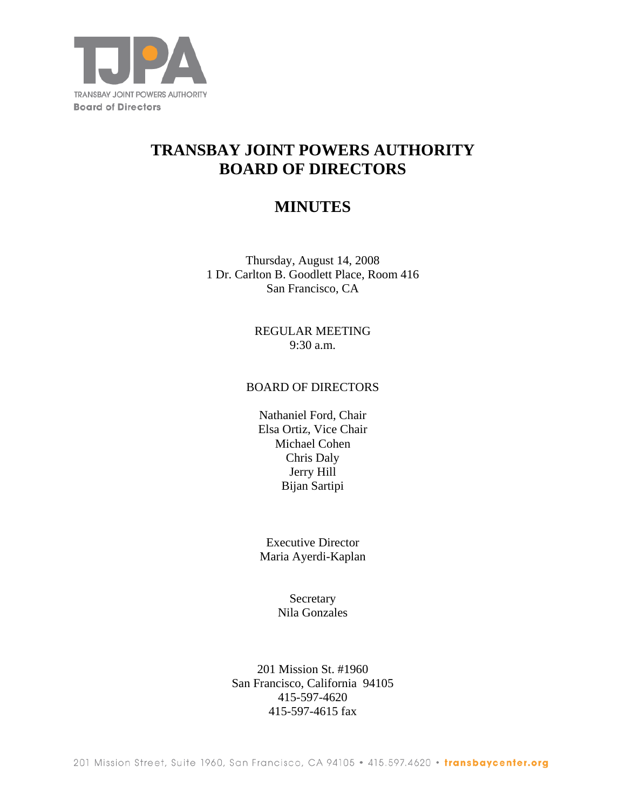

# **TRANSBAY JOINT POWERS AUTHORITY BOARD OF DIRECTORS**

# **MINUTES**

Thursday, August 14, 2008 1 Dr. Carlton B. Goodlett Place, Room 416 San Francisco, CA

> REGULAR MEETING 9:30 a.m.

#### BOARD OF DIRECTORS

Nathaniel Ford, Chair Elsa Ortiz, Vice Chair Michael Cohen Chris Daly Jerry Hill Bijan Sartipi

Executive Director Maria Ayerdi-Kaplan

> Secretary Nila Gonzales

201 Mission St. #1960 San Francisco, California 94105 415-597-4620 415-597-4615 fax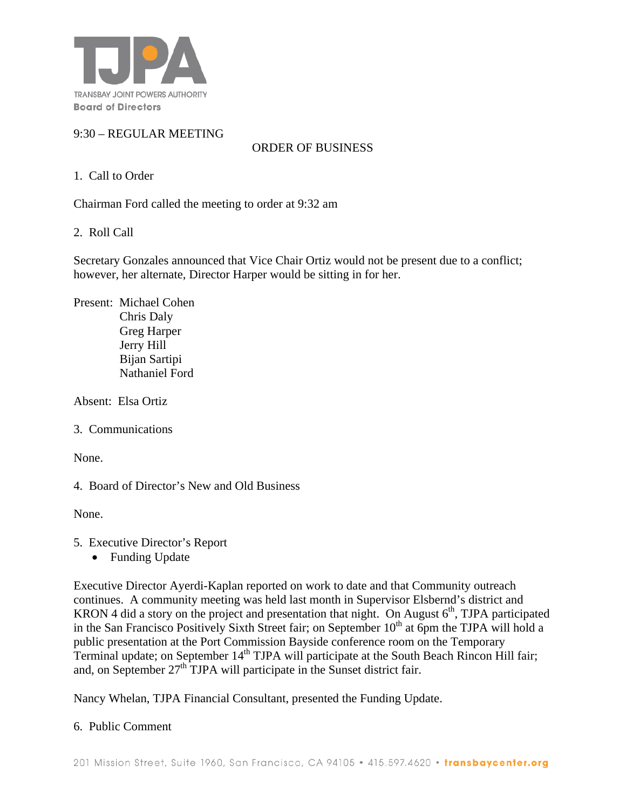

# 9:30 – REGULAR MEETING

ORDER OF BUSINESS

#### 1. Call to Order

Chairman Ford called the meeting to order at 9:32 am

2. Roll Call

Secretary Gonzales announced that Vice Chair Ortiz would not be present due to a conflict; however, her alternate, Director Harper would be sitting in for her.

Present: Michael Cohen Chris Daly Greg Harper Jerry Hill Bijan Sartipi Nathaniel Ford

Absent: Elsa Ortiz

3. Communications

None.

4. Board of Director's New and Old Business

None.

- 5. Executive Director's Report
	- Funding Update

Executive Director Ayerdi-Kaplan reported on work to date and that Community outreach continues. A community meeting was held last month in Supervisor Elsbernd's district and KRON 4 did a story on the project and presentation that night. On August  $6<sup>th</sup>$ , TJPA participated in the San Francisco Positively Sixth Street fair; on September 10<sup>th</sup> at 6pm the TJPA will hold a public presentation at the Port Commission Bayside conference room on the Temporary Terminal update; on September 14<sup>th</sup> TJPA will participate at the South Beach Rincon Hill fair; and, on September  $27<sup>th</sup>$  TJPA will participate in the Sunset district fair.

Nancy Whelan, TJPA Financial Consultant, presented the Funding Update.

6. Public Comment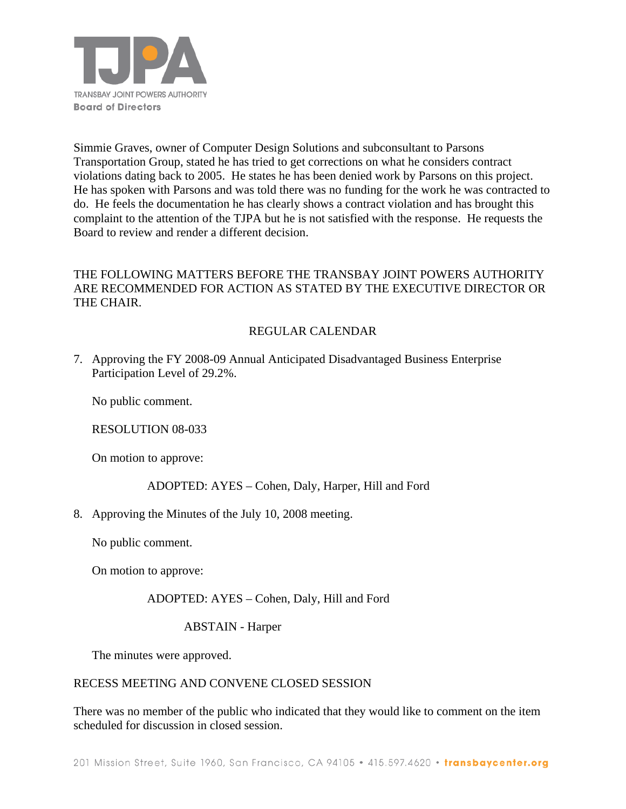

Simmie Graves, owner of Computer Design Solutions and subconsultant to Parsons Transportation Group, stated he has tried to get corrections on what he considers contract violations dating back to 2005. He states he has been denied work by Parsons on this project. He has spoken with Parsons and was told there was no funding for the work he was contracted to do. He feels the documentation he has clearly shows a contract violation and has brought this complaint to the attention of the TJPA but he is not satisfied with the response. He requests the Board to review and render a different decision.

## THE FOLLOWING MATTERS BEFORE THE TRANSBAY JOINT POWERS AUTHORITY ARE RECOMMENDED FOR ACTION AS STATED BY THE EXECUTIVE DIRECTOR OR THE CHAIR.

## REGULAR CALENDAR

7. Approving the FY 2008-09 Annual Anticipated Disadvantaged Business Enterprise Participation Level of 29.2%.

No public comment.

RESOLUTION 08-033

On motion to approve:

## ADOPTED: AYES – Cohen, Daly, Harper, Hill and Ford

8. Approving the Minutes of the July 10, 2008 meeting.

No public comment.

On motion to approve:

ADOPTED: AYES – Cohen, Daly, Hill and Ford

ABSTAIN - Harper

The minutes were approved.

#### RECESS MEETING AND CONVENE CLOSED SESSION

There was no member of the public who indicated that they would like to comment on the item scheduled for discussion in closed session.